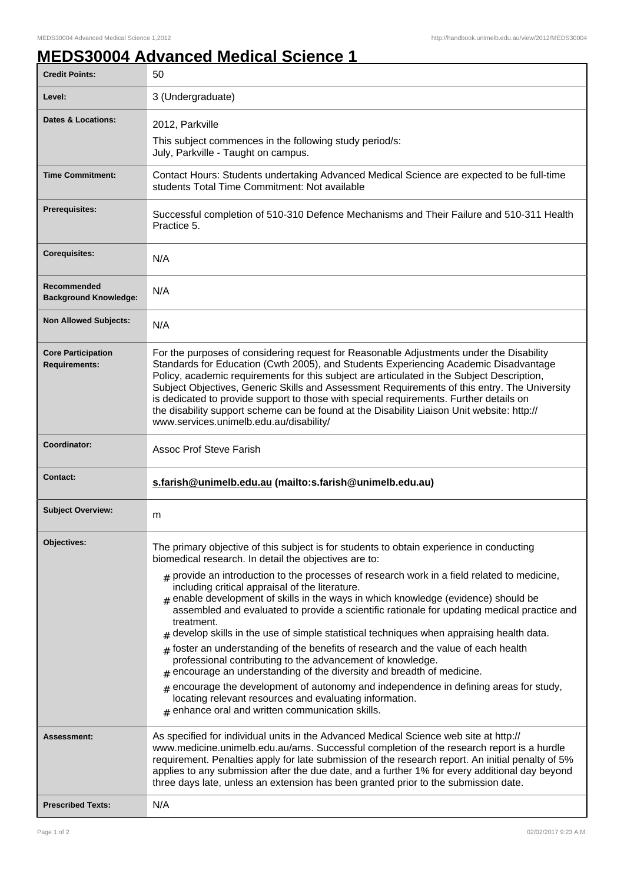## **MEDS30004 Advanced Medical Science 1**

| <b>Credit Points:</b>                             | 50                                                                                                                                                                                                                                                                                                                                                                                                                                                                                                                                                                                                                                                                                                                                                                                                                                                                                                                                                                  |
|---------------------------------------------------|---------------------------------------------------------------------------------------------------------------------------------------------------------------------------------------------------------------------------------------------------------------------------------------------------------------------------------------------------------------------------------------------------------------------------------------------------------------------------------------------------------------------------------------------------------------------------------------------------------------------------------------------------------------------------------------------------------------------------------------------------------------------------------------------------------------------------------------------------------------------------------------------------------------------------------------------------------------------|
| Level:                                            | 3 (Undergraduate)                                                                                                                                                                                                                                                                                                                                                                                                                                                                                                                                                                                                                                                                                                                                                                                                                                                                                                                                                   |
| Dates & Locations:                                | 2012, Parkville                                                                                                                                                                                                                                                                                                                                                                                                                                                                                                                                                                                                                                                                                                                                                                                                                                                                                                                                                     |
|                                                   | This subject commences in the following study period/s:<br>July, Parkville - Taught on campus.                                                                                                                                                                                                                                                                                                                                                                                                                                                                                                                                                                                                                                                                                                                                                                                                                                                                      |
| <b>Time Commitment:</b>                           | Contact Hours: Students undertaking Advanced Medical Science are expected to be full-time<br>students Total Time Commitment: Not available                                                                                                                                                                                                                                                                                                                                                                                                                                                                                                                                                                                                                                                                                                                                                                                                                          |
| <b>Prerequisites:</b>                             | Successful completion of 510-310 Defence Mechanisms and Their Failure and 510-311 Health<br>Practice 5.                                                                                                                                                                                                                                                                                                                                                                                                                                                                                                                                                                                                                                                                                                                                                                                                                                                             |
| <b>Corequisites:</b>                              | N/A                                                                                                                                                                                                                                                                                                                                                                                                                                                                                                                                                                                                                                                                                                                                                                                                                                                                                                                                                                 |
| Recommended<br><b>Background Knowledge:</b>       | N/A                                                                                                                                                                                                                                                                                                                                                                                                                                                                                                                                                                                                                                                                                                                                                                                                                                                                                                                                                                 |
| <b>Non Allowed Subjects:</b>                      | N/A                                                                                                                                                                                                                                                                                                                                                                                                                                                                                                                                                                                                                                                                                                                                                                                                                                                                                                                                                                 |
| <b>Core Participation</b><br><b>Requirements:</b> | For the purposes of considering request for Reasonable Adjustments under the Disability<br>Standards for Education (Cwth 2005), and Students Experiencing Academic Disadvantage<br>Policy, academic requirements for this subject are articulated in the Subject Description,<br>Subject Objectives, Generic Skills and Assessment Requirements of this entry. The University<br>is dedicated to provide support to those with special requirements. Further details on<br>the disability support scheme can be found at the Disability Liaison Unit website: http://<br>www.services.unimelb.edu.au/disability/                                                                                                                                                                                                                                                                                                                                                    |
| Coordinator:                                      | <b>Assoc Prof Steve Farish</b>                                                                                                                                                                                                                                                                                                                                                                                                                                                                                                                                                                                                                                                                                                                                                                                                                                                                                                                                      |
| Contact:                                          | s.farish@unimelb.edu.au (mailto:s.farish@unimelb.edu.au)                                                                                                                                                                                                                                                                                                                                                                                                                                                                                                                                                                                                                                                                                                                                                                                                                                                                                                            |
| <b>Subject Overview:</b>                          | m                                                                                                                                                                                                                                                                                                                                                                                                                                                                                                                                                                                                                                                                                                                                                                                                                                                                                                                                                                   |
| Objectives:                                       | The primary objective of this subject is for students to obtain experience in conducting                                                                                                                                                                                                                                                                                                                                                                                                                                                                                                                                                                                                                                                                                                                                                                                                                                                                            |
|                                                   | biomedical research. In detail the objectives are to:<br>$#$ provide an introduction to the processes of research work in a field related to medicine,<br>including critical appraisal of the literature.<br>$_{\text{H}}$ enable development of skills in the ways in which knowledge (evidence) should be<br>assembled and evaluated to provide a scientific rationale for updating medical practice and<br>treatment.<br>develop skills in the use of simple statistical techniques when appraising health data.<br>foster an understanding of the benefits of research and the value of each health<br>#<br>professional contributing to the advancement of knowledge.<br>encourage an understanding of the diversity and breadth of medicine.<br>encourage the development of autonomy and independence in defining areas for study,<br>$\pm$<br>locating relevant resources and evaluating information.<br>$#$ enhance oral and written communication skills. |
| Assessment:                                       | As specified for individual units in the Advanced Medical Science web site at http://<br>www.medicine.unimelb.edu.au/ams. Successful completion of the research report is a hurdle<br>requirement. Penalties apply for late submission of the research report. An initial penalty of 5%<br>applies to any submission after the due date, and a further 1% for every additional day beyond<br>three days late, unless an extension has been granted prior to the submission date.                                                                                                                                                                                                                                                                                                                                                                                                                                                                                    |